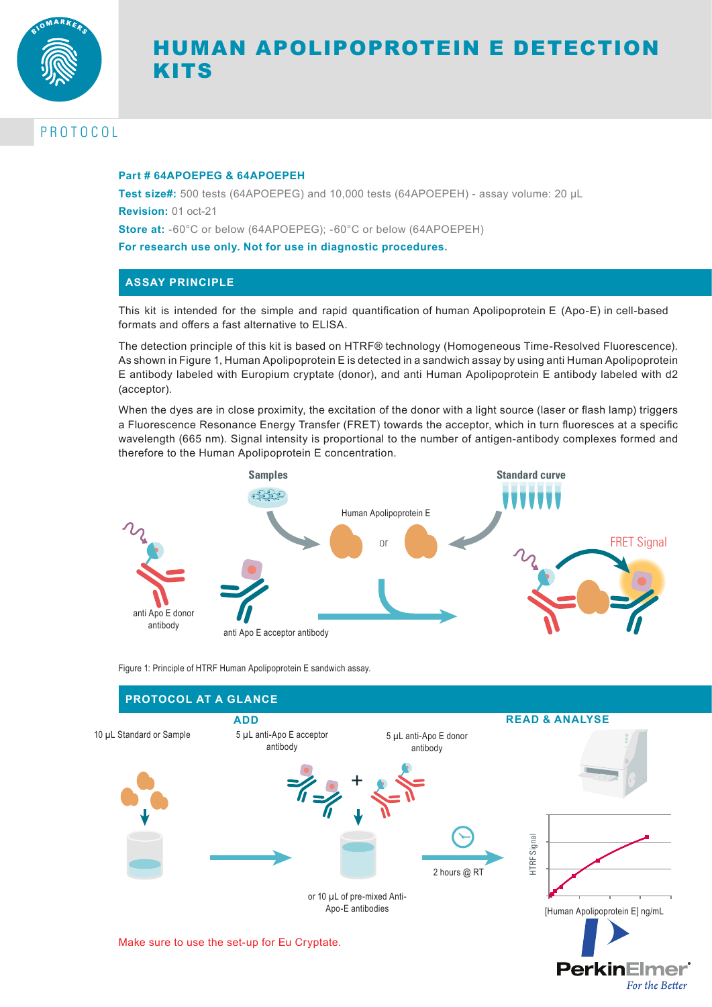

# HUMAN APOLIPOPROTEIN E DETECTION KITS

# PROTOCOL

### **Part # 64APOEPEG & 64APOEPEH**

**Test size#:** 500 tests (64APOEPEG) and 10,000 tests (64APOEPEH) - assay volume: 20 µL **Revision:** 01 oct-21

**Store at:** -60°C or below (64APOEPEG); -60°C or below (64APOEPEH)

**For research use only. Not for use in diagnostic procedures.**

### **ASSAY PRINCIPLE**

This kit is intended for the simple and rapid quantification of human Apolipoprotein E (Apo-E) in cell-based formats and offers a fast alternative to ELISA.

The detection principle of this kit is based on HTRF® technology (Homogeneous Time-Resolved Fluorescence). As shown in Figure 1, Human Apolipoprotein E is detected in a sandwich assay by using anti Human Apolipoprotein E antibody labeled with Europium cryptate (donor), and anti Human Apolipoprotein E antibody labeled with d2 (acceptor).

When the dyes are in close proximity, the excitation of the donor with a light source (laser or flash lamp) triggers a Fluorescence Resonance Energy Transfer (FRET) towards the acceptor, which in turn fluoresces at a specific wavelength (665 nm). Signal intensity is proportional to the number of antigen-antibody complexes formed and therefore to the Human Apolipoprotein E concentration.



Figure 1: Principle of HTRF Human Apolipoprotein E sandwich assay.



**PerkinElmer** 

For the Better

Make sure to use the set-up for Eu Cryptate.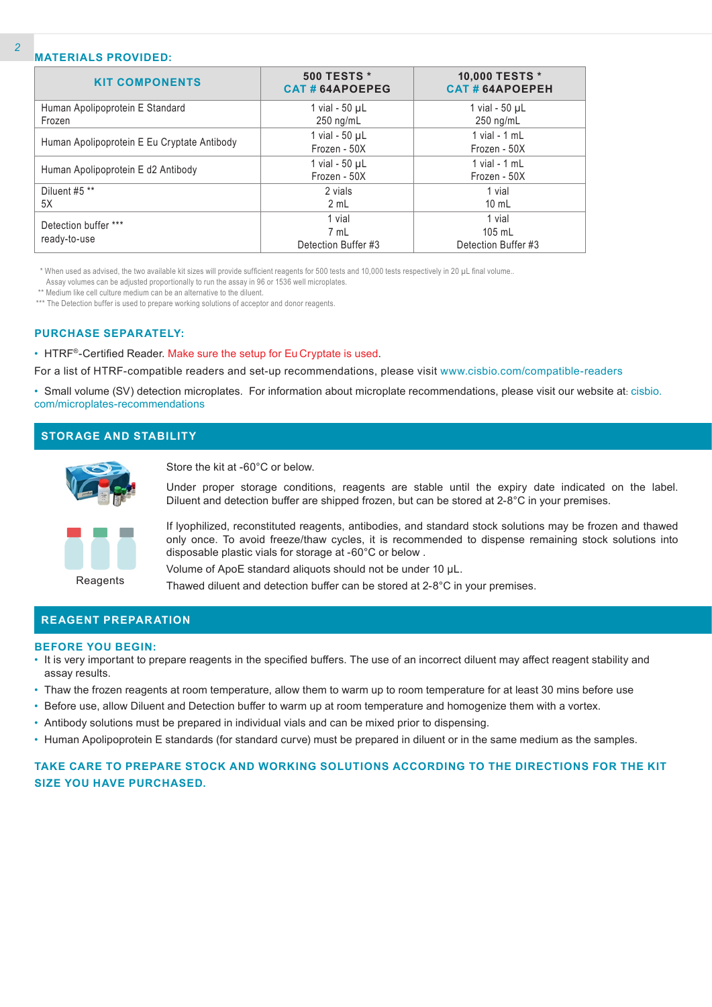### **MATERIALS PROVIDED:**

| <b>KIT COMPONENTS</b>                       | <b>500 TESTS *</b><br>CAT#64APOEPEG | 10,000 TESTS *<br><b>CAT#64APOEPEH</b> |
|---------------------------------------------|-------------------------------------|----------------------------------------|
| Human Apolipoprotein E Standard             | 1 vial - $50 \mu L$                 | 1 vial - $50 \mu L$                    |
| Frozen                                      | $250$ ng/mL                         | $250$ ng/mL                            |
|                                             | 1 vial - 50 µL                      | 1 vial - $1$ mL                        |
| Human Apolipoprotein E Eu Cryptate Antibody | Frozen - 50X                        | Frozen - 50X                           |
|                                             | 1 vial - $50 \mu L$                 | 1 vial - $1$ mL                        |
| Human Apolipoprotein E d2 Antibody          | Frozen - 50X                        | Frozen - 50X                           |
| Diluent #5 **                               | 2 vials                             | 1 vial                                 |
| 5X                                          | 2 mL                                | $10 \text{ mL}$                        |
| Detection buffer ***                        | 1 vial                              | 1 vial                                 |
|                                             | 7 mL                                | $105$ mL                               |
| ready-to-use                                | Detection Buffer #3                 | Detection Buffer #3                    |

\* When used as advised, the two available kit sizes will provide sufficient reagents for 500 tests and 10,000 tests respectively in 20 µL final volume..

Assay volumes can be adjusted proportionally to run the assay in 96 or 1536 well microplates.

\*\* Medium like cell culture medium can be an alternative to the diluent.

\*\*\* The Detection buffer is used to prepare working solutions of acceptor and donor reagents.

#### **PURCHASE SEPARATELY:**

• HTRF®-Certified Reader. Make sure the setup for Eu Cryptate is used.

For a list of HTRF-compatible readers and set-up recommendations, please visit www.cisbio.com/compatible-readers

• Small volume (SV) detection microplates. For information about microplate recommendations, please visit our website at: cisbio. com/microplates-recommendations

### **STORAGE AND STABILITY**



Store the kit at -60°C or below.

Under proper storage conditions, reagents are stable until the expiry date indicated on the label. Diluent and detection buffer are shipped frozen, but can be stored at 2-8°C in your premises.



If lyophilized, reconstituted reagents, antibodies, and standard stock solutions may be frozen and thawed only once. To avoid freeze/thaw cycles, it is recommended to dispense remaining stock solutions into disposable plastic vials for storage at -60°C or below .

Volume of ApoE standard aliquots should not be under 10 µL.

Thawed diluent and detection buffer can be stored at 2-8°C in your premises.

#### **REAGENT PREPARATION**

#### **BEFORE YOU BEGIN:**

- It is very important to prepare reagents in the specified buffers. The use of an incorrect diluent may affect reagent stability and assay results.
- Thaw the frozen reagents at room temperature, allow them to warm up to room temperature for at least 30 mins before use
- Before use, allow Diluent and Detection buffer to warm up at room temperature and homogenize them with a vortex.
- Antibody solutions must be prepared in individual vials and can be mixed prior to dispensing.
- Human Apolipoprotein E standards (for standard curve) must be prepared in diluent or in the same medium as the samples.

### **TAKE CARE TO PREPARE STOCK AND WORKING SOLUTIONS ACCORDING TO THE DIRECTIONS FOR THE KIT SIZE YOU HAVE PURCHASED.**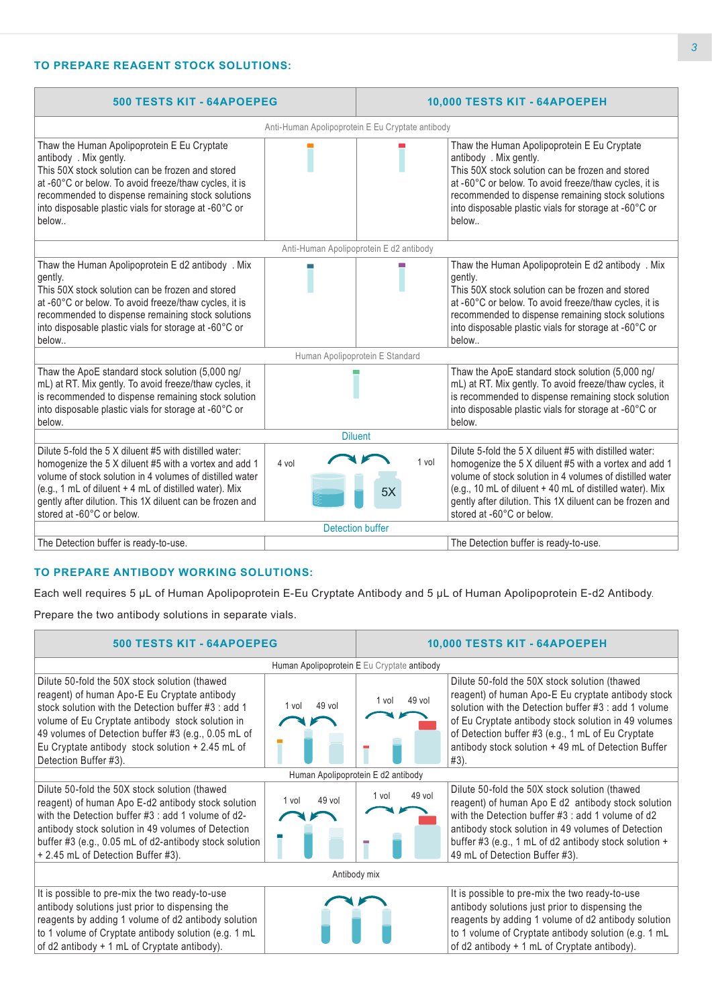## **TO PREPARE REAGENT STOCK SOLUTIONS:**

| <b>500 TESTS KIT - 64APOEPEG</b>                                                                                                                                                                                                                                                                                               |                                                  |             | 10,000 TESTS KIT - 64APOEPEH                                                                                                                                                                                                                                                                                                     |
|--------------------------------------------------------------------------------------------------------------------------------------------------------------------------------------------------------------------------------------------------------------------------------------------------------------------------------|--------------------------------------------------|-------------|----------------------------------------------------------------------------------------------------------------------------------------------------------------------------------------------------------------------------------------------------------------------------------------------------------------------------------|
|                                                                                                                                                                                                                                                                                                                                | Anti-Human Apolipoprotein E Eu Cryptate antibody |             |                                                                                                                                                                                                                                                                                                                                  |
| Thaw the Human Apolipoprotein E Eu Cryptate<br>antibody . Mix gently.<br>This 50X stock solution can be frozen and stored<br>at -60°C or below. To avoid freeze/thaw cycles, it is<br>recommended to dispense remaining stock solutions<br>into disposable plastic vials for storage at -60°C or<br>below                      |                                                  |             | Thaw the Human Apolipoprotein E Eu Cryptate<br>antibody . Mix gently.<br>This 50X stock solution can be frozen and stored<br>at -60°C or below. To avoid freeze/thaw cycles, it is<br>recommended to dispense remaining stock solutions<br>into disposable plastic vials for storage at -60°C or<br>below                        |
|                                                                                                                                                                                                                                                                                                                                | Anti-Human Apolipoprotein E d2 antibody          |             |                                                                                                                                                                                                                                                                                                                                  |
| Thaw the Human Apolipoprotein E d2 antibody . Mix<br>gently.<br>This 50X stock solution can be frozen and stored<br>at -60°C or below. To avoid freeze/thaw cycles, it is<br>recommended to dispense remaining stock solutions<br>into disposable plastic vials for storage at -60°C or<br>below                               |                                                  |             | Thaw the Human Apolipoprotein E d2 antibody . Mix<br>gently.<br>This 50X stock solution can be frozen and stored<br>at -60°C or below. To avoid freeze/thaw cycles, it is<br>recommended to dispense remaining stock solutions<br>into disposable plastic vials for storage at -60°C or<br>below                                 |
|                                                                                                                                                                                                                                                                                                                                | Human Apolipoprotein E Standard                  |             |                                                                                                                                                                                                                                                                                                                                  |
| Thaw the ApoE standard stock solution (5,000 ng/<br>mL) at RT. Mix gently. To avoid freeze/thaw cycles, it<br>is recommended to dispense remaining stock solution<br>into disposable plastic vials for storage at -60°C or<br>below.                                                                                           |                                                  |             | Thaw the ApoE standard stock solution (5,000 ng/<br>mL) at RT. Mix gently. To avoid freeze/thaw cycles, it<br>is recommended to dispense remaining stock solution<br>into disposable plastic vials for storage at -60°C or<br>below.                                                                                             |
|                                                                                                                                                                                                                                                                                                                                | <b>Diluent</b>                                   |             |                                                                                                                                                                                                                                                                                                                                  |
| Dilute 5-fold the 5 X diluent #5 with distilled water:<br>homogenize the 5 X diluent #5 with a vortex and add 1<br>volume of stock solution in 4 volumes of distilled water<br>(e.g., 1 mL of diluent + 4 mL of distilled water). Mix<br>gently after dilution. This 1X diluent can be frozen and<br>stored at -60°C or below. | 4 vol                                            | 1 vol<br>5X | Dilute 5-fold the 5 X diluent #5 with distilled water:<br>homogenize the 5 X diluent #5 with a vortex and add 1<br>volume of stock solution in 4 volumes of distilled water<br>(e.g., 10 mL of diluent + 40 mL of distilled water). Mix<br>gently after dilution. This 1X diluent can be frozen and<br>stored at -60°C or below. |
|                                                                                                                                                                                                                                                                                                                                | <b>Detection buffer</b>                          |             |                                                                                                                                                                                                                                                                                                                                  |
| The Detection buffer is ready-to-use.                                                                                                                                                                                                                                                                                          |                                                  |             | The Detection buffer is ready-to-use.                                                                                                                                                                                                                                                                                            |

### **TO PREPARE ANTIBODY WORKING SOLUTIONS:**

Each well requires 5 µL of Human Apolipoprotein E-Eu Cryptate Antibody and 5 µL of Human Apolipoprotein E-d2 Antibody.

Prepare the two antibody solutions in separate vials.

 $\blacksquare$ 

| <b>500 TESTS KIT - 64APOEPEG</b>                                                                                                                                                                                                                                                                                                              |                                    |                                             | 10,000 TESTS KIT - 64APOEPEH                                                                                                                                                                                                                                                                                                            |
|-----------------------------------------------------------------------------------------------------------------------------------------------------------------------------------------------------------------------------------------------------------------------------------------------------------------------------------------------|------------------------------------|---------------------------------------------|-----------------------------------------------------------------------------------------------------------------------------------------------------------------------------------------------------------------------------------------------------------------------------------------------------------------------------------------|
|                                                                                                                                                                                                                                                                                                                                               |                                    | Human Apolipoprotein E Eu Cryptate antibody |                                                                                                                                                                                                                                                                                                                                         |
| Dilute 50-fold the 50X stock solution (thawed<br>reagent) of human Apo-E Eu Cryptate antibody<br>stock solution with the Detection buffer #3 : add 1<br>volume of Eu Cryptate antibody stock solution in<br>49 volumes of Detection buffer #3 (e.g., 0.05 mL of<br>Eu Cryptate antibody stock solution $+2.45$ mL of<br>Detection Buffer #3). | 49 vol<br>1 vol                    | 49 vol<br>1 vol                             | Dilute 50-fold the 50X stock solution (thawed<br>reagent) of human Apo-E Eu cryptate antibody stock<br>solution with the Detection buffer #3 : add 1 volume<br>of Eu Cryptate antibody stock solution in 49 volumes<br>of Detection buffer #3 (e.g., 1 mL of Eu Cryptate<br>antibody stock solution + 49 mL of Detection Buffer<br>#3). |
|                                                                                                                                                                                                                                                                                                                                               | Human Apolipoprotein E d2 antibody |                                             |                                                                                                                                                                                                                                                                                                                                         |
| Dilute 50-fold the 50X stock solution (thawed<br>reagent) of human Apo E-d2 antibody stock solution<br>with the Detection buffer #3 : add 1 volume of d2-<br>antibody stock solution in 49 volumes of Detection<br>buffer #3 (e.g., 0.05 mL of d2-antibody stock solution<br>+ 2.45 mL of Detection Buffer #3).                               | 49 vol<br>1 vol                    | 49 vol<br>1 vol                             | Dilute 50-fold the 50X stock solution (thawed<br>reagent) of human Apo E d2 antibody stock solution<br>with the Detection buffer #3 : add 1 volume of d2<br>antibody stock solution in 49 volumes of Detection<br>buffer #3 (e.g., 1 mL of d2 antibody stock solution +<br>49 mL of Detection Buffer #3).                               |
|                                                                                                                                                                                                                                                                                                                                               |                                    | Antibody mix                                |                                                                                                                                                                                                                                                                                                                                         |
| It is possible to pre-mix the two ready-to-use<br>antibody solutions just prior to dispensing the<br>reagents by adding 1 volume of d2 antibody solution<br>to 1 volume of Cryptate antibody solution (e.g. 1 mL<br>of d2 antibody + 1 mL of Cryptate antibody).                                                                              |                                    |                                             | It is possible to pre-mix the two ready-to-use<br>antibody solutions just prior to dispensing the<br>reagents by adding 1 volume of d2 antibody solution<br>to 1 volume of Cryptate antibody solution (e.g. 1 mL<br>of d2 antibody + 1 mL of Cryptate antibody).                                                                        |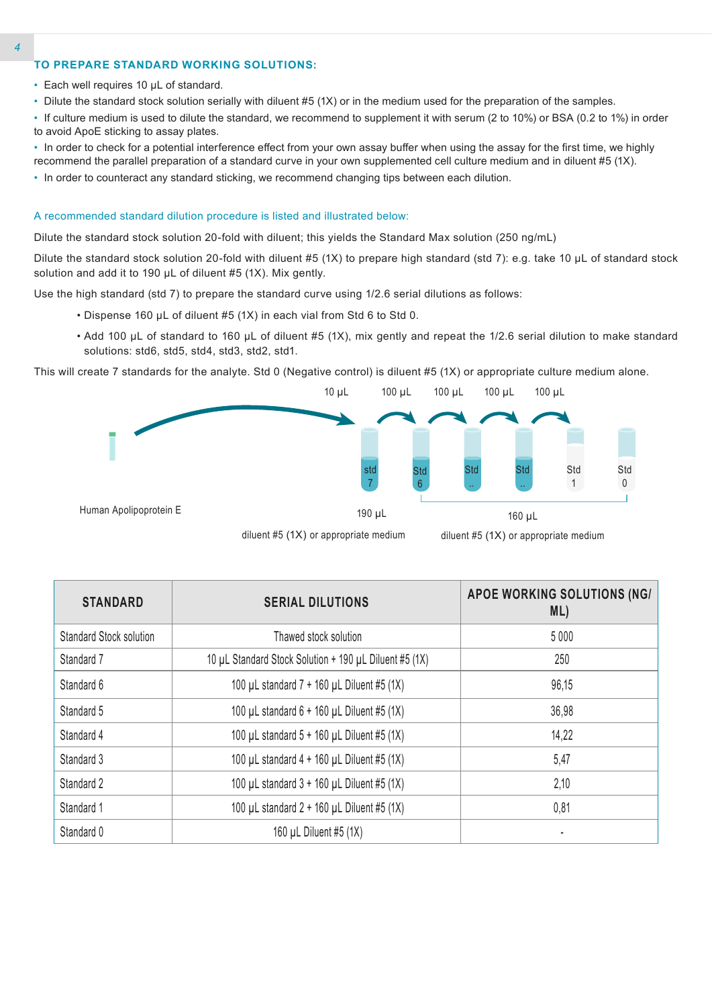#### **TO PREPARE STANDARD WORKING SOLUTIONS:**

- Each well requires 10 µL of standard.
- Dilute the standard stock solution serially with diluent #5 (1X) or in the medium used for the preparation of the samples.
- If culture medium is used to dilute the standard, we recommend to supplement it with serum (2 to 10%) or BSA (0.2 to 1%) in order to avoid ApoE sticking to assay plates.
- In order to check for a potential interference effect from your own assay buffer when using the assay for the first time, we highly recommend the parallel preparation of a standard curve in your own supplemented cell culture medium and in diluent #5 (1X).
- In order to counteract any standard sticking, we recommend changing tips between each dilution.

#### A recommended standard dilution procedure is listed and illustrated below:

Dilute the standard stock solution 20-fold with diluent; this yields the Standard Max solution (250 ng/mL)

Dilute the standard stock solution 20-fold with diluent #5 (1X) to prepare high standard (std 7): e.g. take 10 µL of standard stock solution and add it to 190 µL of diluent #5 (1X). Mix gently.

Use the high standard (std 7) to prepare the standard curve using 1/2.6 serial dilutions as follows:

- Dispense 160 µL of diluent #5 (1X) in each vial from Std 6 to Std 0.
- Add 100 µL of standard to 160 µL of diluent #5 (1X), mix gently and repeat the 1/2.6 serial dilution to make standard solutions: std6, std5, std4, std3, std2, std1.

This will create 7 standards for the analyte. Std 0 (Negative control) is diluent #5 (1X) or appropriate culture medium alone.



| <b>STANDARD</b>                | <b>SERIAL DILUTIONS</b>                                | APOE WORKING SOLUTIONS (NG/<br>ML) |
|--------------------------------|--------------------------------------------------------|------------------------------------|
| <b>Standard Stock solution</b> | Thawed stock solution                                  | 5 0 0 0                            |
| Standard 7                     | 10 µL Standard Stock Solution + 190 µL Diluent #5 (1X) | 250                                |
| Standard 6                     | 100 µL standard 7 + 160 µL Diluent #5 (1X)             | 96,15                              |
| Standard 5                     | 100 µL standard $6 + 160$ µL Diluent #5 (1X)           | 36,98                              |
| Standard 4                     | 100 µL standard $5 + 160$ µL Diluent #5 (1X)           | 14,22                              |
| Standard 3                     | 100 µL standard $4 + 160$ µL Diluent #5 (1X)           | 5,47                               |
| Standard 2                     | 100 µL standard $3 + 160$ µL Diluent #5 (1X)           | 2,10                               |
| Standard 1                     | 100 µL standard $2 + 160$ µL Diluent #5 (1X)           | 0,81                               |
| Standard 0                     | 160 µL Diluent #5 (1X)                                 |                                    |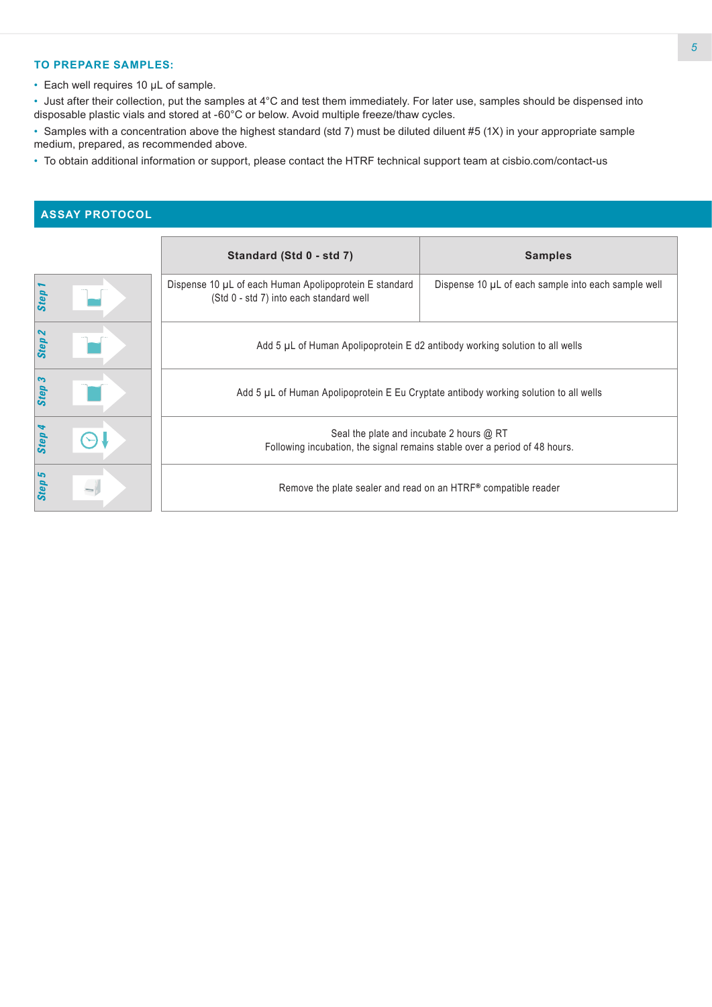### **TO PREPARE SAMPLES:**

• Each well requires 10 µL of sample.

• Just after their collection, put the samples at 4°C and test them immediately. For later use, samples should be dispensed into disposable plastic vials and stored at -60°C or below. Avoid multiple freeze/thaw cycles.

• Samples with a concentration above the highest standard (std 7) must be diluted diluent #5 (1X) in your appropriate sample medium, prepared, as recommended above.

• To obtain additional information or support, please contact the HTRF technical support team at cisbio.com/contact-us

# **ASSAY PROTOCOL**

|                   | Standard (Std 0 - std 7)                                                                                               | <b>Samples</b>                                      |
|-------------------|------------------------------------------------------------------------------------------------------------------------|-----------------------------------------------------|
| Step              | Dispense 10 µL of each Human Apolipoprotein E standard<br>(Std 0 - std 7) into each standard well                      | Dispense 10 µL of each sample into each sample well |
| Step <sub>2</sub> | Add 5 µL of Human Apolipoprotein E d2 antibody working solution to all wells                                           |                                                     |
| Step <sub>3</sub> | Add 5 µL of Human Apolipoprotein E Eu Cryptate antibody working solution to all wells                                  |                                                     |
| Step 4            | Seal the plate and incubate 2 hours @ RT<br>Following incubation, the signal remains stable over a period of 48 hours. |                                                     |
| Step 5            | Remove the plate sealer and read on an HTRF® compatible reader                                                         |                                                     |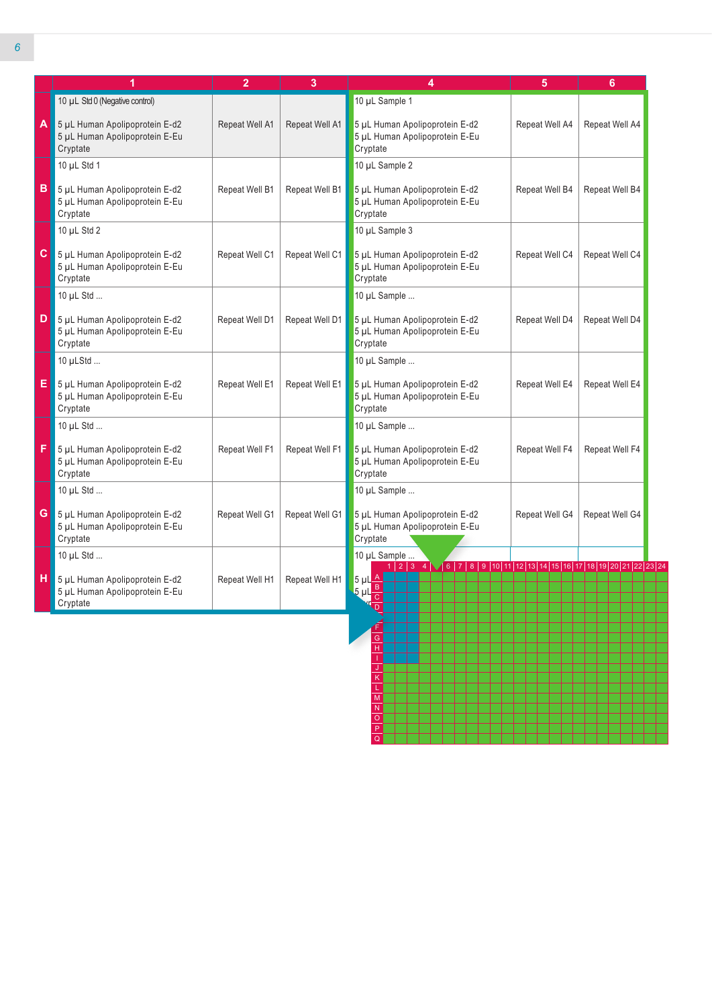|    | 1                                                                              | $\overline{2}$ | 3              | 4                                                                                                                                                                                                     | 5              | 6              |
|----|--------------------------------------------------------------------------------|----------------|----------------|-------------------------------------------------------------------------------------------------------------------------------------------------------------------------------------------------------|----------------|----------------|
|    | 10 µL Std 0 (Negative control)                                                 |                |                | 10 µL Sample 1                                                                                                                                                                                        |                |                |
|    | 4 5 µL Human Apolipoprotein E-d2<br>5 µL Human Apolipoprotein E-Eu<br>Cryptate | Repeat Well A1 | Repeat Well A1 | 5 µL Human Apolipoprotein E-d2<br>5 µL Human Apolipoprotein E-Eu<br>Cryptate                                                                                                                          | Repeat Well A4 | Repeat Well A4 |
|    | 10 µL Std 1                                                                    |                |                | 10 µL Sample 2                                                                                                                                                                                        |                |                |
| в  | 5 µL Human Apolipoprotein E-d2<br>5 µL Human Apolipoprotein E-Eu<br>Cryptate   | Repeat Well B1 | Repeat Well B1 | 5 µL Human Apolipoprotein E-d2<br>5 µL Human Apolipoprotein E-Eu<br>Cryptate                                                                                                                          | Repeat Well B4 | Repeat Well B4 |
|    | 10 µL Std 2                                                                    |                |                | 10 µL Sample 3                                                                                                                                                                                        |                |                |
| C. | 5 µL Human Apolipoprotein E-d2<br>5 µL Human Apolipoprotein E-Eu<br>Cryptate   | Repeat Well C1 | Repeat Well C1 | 5 µL Human Apolipoprotein E-d2<br>5 µL Human Apolipoprotein E-Eu<br>Cryptate                                                                                                                          | Repeat Well C4 | Repeat Well C4 |
|    | 10 µL Std                                                                      |                |                | 10 µL Sample                                                                                                                                                                                          |                |                |
| D  | 5 µL Human Apolipoprotein E-d2<br>5 µL Human Apolipoprotein E-Eu<br>Cryptate   | Repeat Well D1 | Repeat Well D1 | 5 µL Human Apolipoprotein E-d2<br>5 µL Human Apolipoprotein E-Eu<br>Cryptate                                                                                                                          | Repeat Well D4 | Repeat Well D4 |
|    | 10 µLStd                                                                       |                |                | 10 µL Sample                                                                                                                                                                                          |                |                |
| E. | 5 µL Human Apolipoprotein E-d2<br>5 µL Human Apolipoprotein E-Eu<br>Cryptate   | Repeat Well E1 | Repeat Well E1 | 5 µL Human Apolipoprotein E-d2<br>5 µL Human Apolipoprotein E-Eu<br>Cryptate                                                                                                                          | Repeat Well E4 | Repeat Well E4 |
|    | 10 µL Std                                                                      |                |                | 10 µL Sample                                                                                                                                                                                          |                |                |
| F  | 5 µL Human Apolipoprotein E-d2<br>5 µL Human Apolipoprotein E-Eu<br>Cryptate   | Repeat Well F1 | Repeat Well F1 | 5 µL Human Apolipoprotein E-d2<br>5 µL Human Apolipoprotein E-Eu<br>Cryptate                                                                                                                          | Repeat Well F4 | Repeat Well F4 |
|    | 10 µL Std                                                                      |                |                | 10 µL Sample                                                                                                                                                                                          |                |                |
|    | G 5 µL Human Apolipoprotein E-d2<br>5 µL Human Apolipoprotein E-Eu<br>Cryptate | Repeat Well G1 | Repeat Well G1 | 5 µL Human Apolipoprotein E-d2<br>5 µL Human Apolipoprotein E-Eu<br>Cryptate                                                                                                                          | Repeat Well G4 | Repeat Well G4 |
|    | 10 µL Std                                                                      |                |                | 10 µL Sample                                                                                                                                                                                          |                |                |
| н  | 5 µL Human Apolipoprotein E-d2<br>5 µL Human Apolipoprotein E-Eu<br>Cryptate   | Repeat Well H1 | Repeat Well H1 | $1 2 3$ 4 $\sqrt{6 7 8 9 10 11 12 13 14 15 16 17 18 19 20 21 22 23 24}$<br>$\frac{5 \text{ }\mu\text{L}\frac{\text{A}}{\text{B}}}{5 \text{ }\mu\text{L}\frac{\text{B}}{\text{C}}}}$<br>$\overline{D}$ |                |                |

L M N O P Q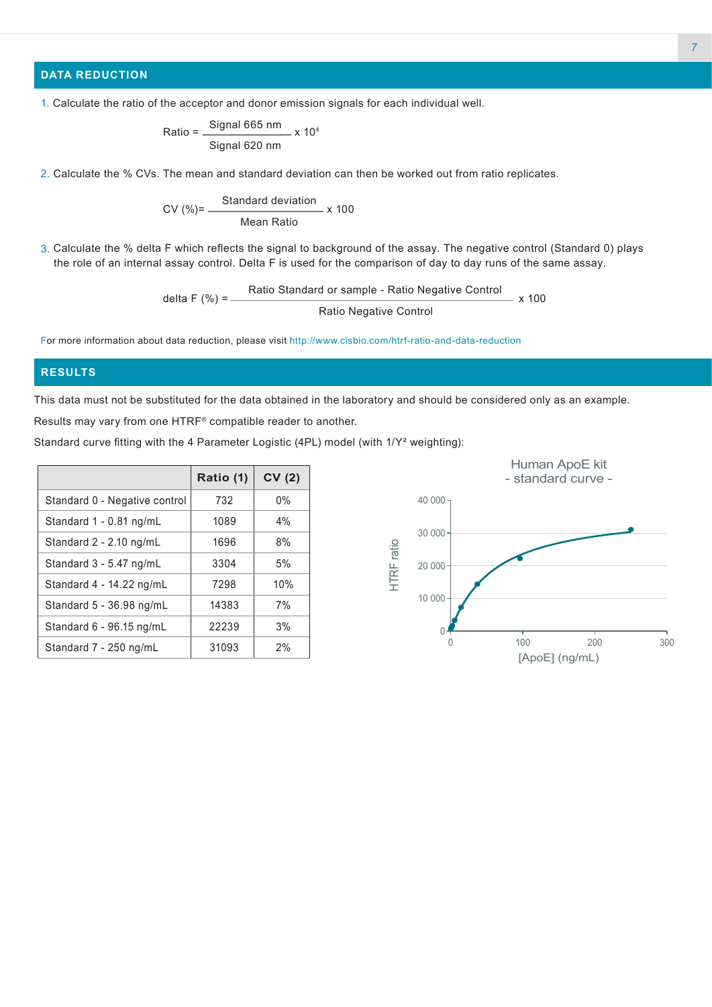### **DATA REDUCTION**

$$
Ratio = \frac{Signal 665 nm}{Signal 620 nm} \times 10^4
$$

2. Calculate the % CVs. The mean and standard deviation can then be worked out from ratio replicates.

$$
CV (%) = \frac{Standard deviation}{Mean Ratio} \times 100
$$

3. Calculate the % delta F which reflects the signal to background of the assay. The negative control (Standard 0) plays the role of an internal assay control. Delta F is used for the comparison of day to day runs of the same assay.

delta F (%) = Ratio Standard or sample - Ratio Negative Control Ratio Negative Control x 100

For more information about data reduction, please visit http://www.cisbio.com/htrf-ratio-and-data-reduction

### **RESULTS**

This data must not be substituted for the data obtained in the laboratory and should be considered only as an example. Results may vary from one HTRF® compatible reader to another.

| Standard curve fitting with the 4 Parameter Logistic (4PL) model (with 1/Y² weighting): |  |  |
|-----------------------------------------------------------------------------------------|--|--|
|-----------------------------------------------------------------------------------------|--|--|

|                               | Ratio (1) | CV(2) |
|-------------------------------|-----------|-------|
| Standard 0 - Negative control | 732       | $0\%$ |
| Standard 1 - 0.81 ng/mL       | 1089      | 4%    |
| Standard 2 - 2.10 ng/mL       | 1696      | 8%    |
| Standard 3 - 5.47 ng/mL       | 3304      | 5%    |
| Standard 4 - 14.22 ng/mL      | 7298      | 10%   |
| Standard 5 - 36.98 ng/mL      | 14383     | 7%    |
| Standard 6 - 96.15 ng/mL      | 22239     | 3%    |
| Standard 7 - 250 ng/mL        | 31093     | $2\%$ |